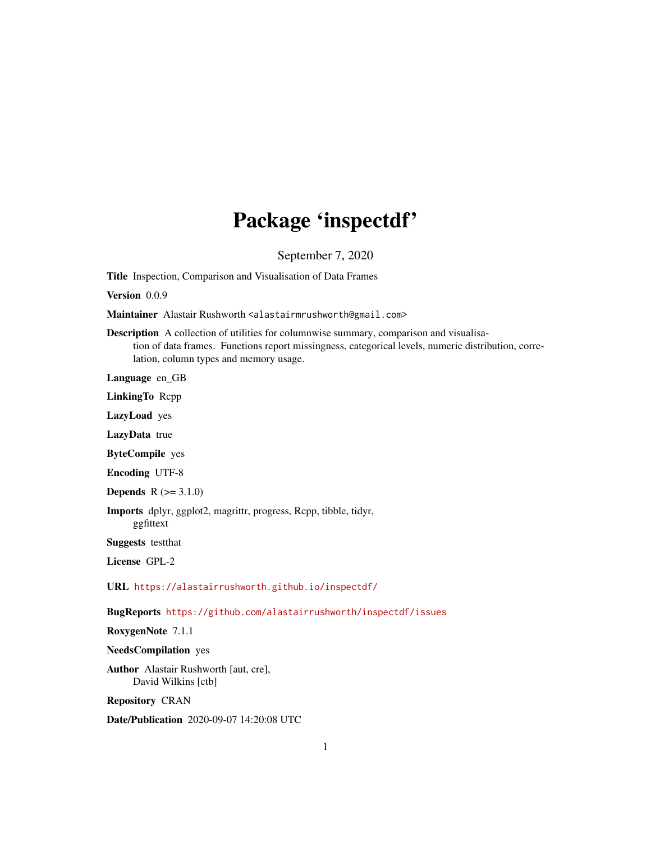# Package 'inspectdf'

September 7, 2020

Title Inspection, Comparison and Visualisation of Data Frames

Version 0.0.9

Maintainer Alastair Rushworth <alastairmrushworth@gmail.com>

Description A collection of utilities for columnwise summary, comparison and visualisation of data frames. Functions report missingness, categorical levels, numeric distribution, correlation, column types and memory usage.

Language en\_GB

LinkingTo Rcpp

LazyLoad yes

LazyData true

ByteCompile yes

Encoding UTF-8

**Depends**  $R (= 3.1.0)$ 

Imports dplyr, ggplot2, magrittr, progress, Rcpp, tibble, tidyr, ggfittext

Suggests testthat

License GPL-2

URL <https://alastairrushworth.github.io/inspectdf/>

BugReports <https://github.com/alastairrushworth/inspectdf/issues>

RoxygenNote 7.1.1

NeedsCompilation yes

Author Alastair Rushworth [aut, cre], David Wilkins [ctb]

Repository CRAN

Date/Publication 2020-09-07 14:20:08 UTC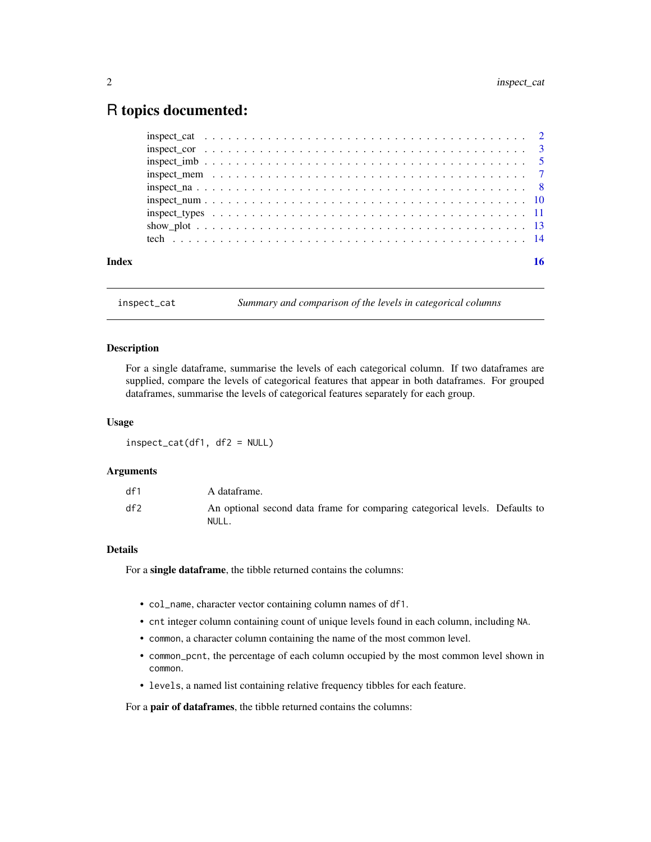# <span id="page-1-0"></span>R topics documented:

<span id="page-1-1"></span>

inspect\_cat *Summary and comparison of the levels in categorical columns*

#### Description

For a single dataframe, summarise the levels of each categorical column. If two dataframes are supplied, compare the levels of categorical features that appear in both dataframes. For grouped dataframes, summarise the levels of categorical features separately for each group.

#### Usage

inspect\_cat(df1, df2 = NULL)

#### Arguments

| df1 | A dataframe.                                                                         |
|-----|--------------------------------------------------------------------------------------|
| df2 | An optional second data frame for comparing categorical levels. Defaults to<br>NULL. |

# Details

For a single dataframe, the tibble returned contains the columns:

- col\_name, character vector containing column names of df1.
- cnt integer column containing count of unique levels found in each column, including NA.
- common, a character column containing the name of the most common level.
- common\_pcnt, the percentage of each column occupied by the most common level shown in common.
- levels, a named list containing relative frequency tibbles for each feature.

For a pair of dataframes, the tibble returned contains the columns: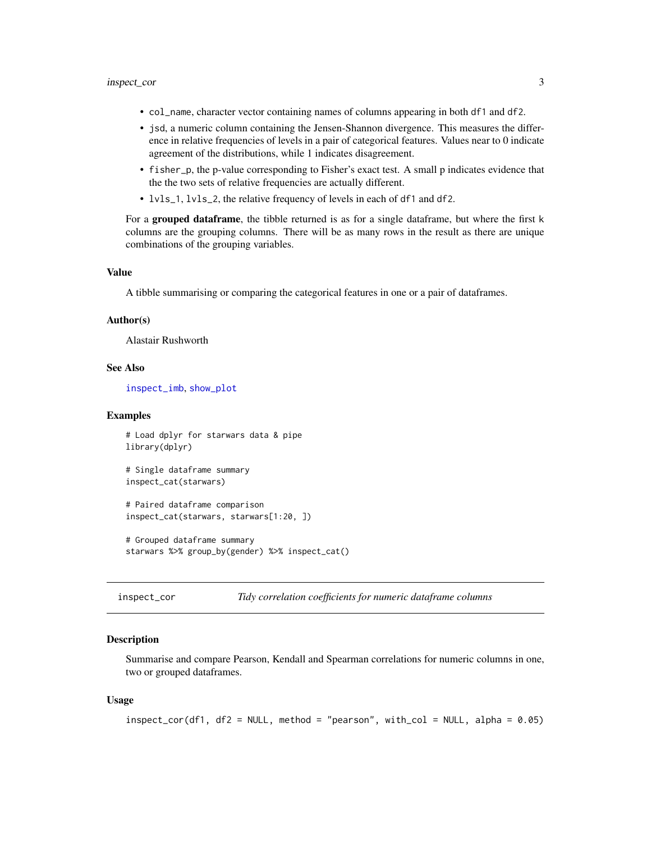- <span id="page-2-0"></span>• col\_name, character vector containing names of columns appearing in both df1 and df2.
- jsd, a numeric column containing the Jensen-Shannon divergence. This measures the difference in relative frequencies of levels in a pair of categorical features. Values near to 0 indicate agreement of the distributions, while 1 indicates disagreement.
- fisher\_p, the p-value corresponding to Fisher's exact test. A small p indicates evidence that the the two sets of relative frequencies are actually different.
- lvls\_1, lvls\_2, the relative frequency of levels in each of df1 and df2.

For a grouped dataframe, the tibble returned is as for a single dataframe, but where the first k columns are the grouping columns. There will be as many rows in the result as there are unique combinations of the grouping variables.

#### Value

A tibble summarising or comparing the categorical features in one or a pair of dataframes.

#### Author(s)

Alastair Rushworth

# See Also

[inspect\\_imb](#page-4-1), [show\\_plot](#page-12-1)

#### Examples

```
# Load dplyr for starwars data & pipe
library(dplyr)
```
# Single dataframe summary inspect\_cat(starwars)

# Paired dataframe comparison inspect\_cat(starwars, starwars[1:20, ])

# Grouped dataframe summary starwars %>% group\_by(gender) %>% inspect\_cat()

inspect\_cor *Tidy correlation coefficients for numeric dataframe columns*

#### **Description**

Summarise and compare Pearson, Kendall and Spearman correlations for numeric columns in one, two or grouped dataframes.

#### Usage

```
inspect_cor(df1, df2 = NULL, method = "pearson", with_col = NULL, alpha = 0.05)
```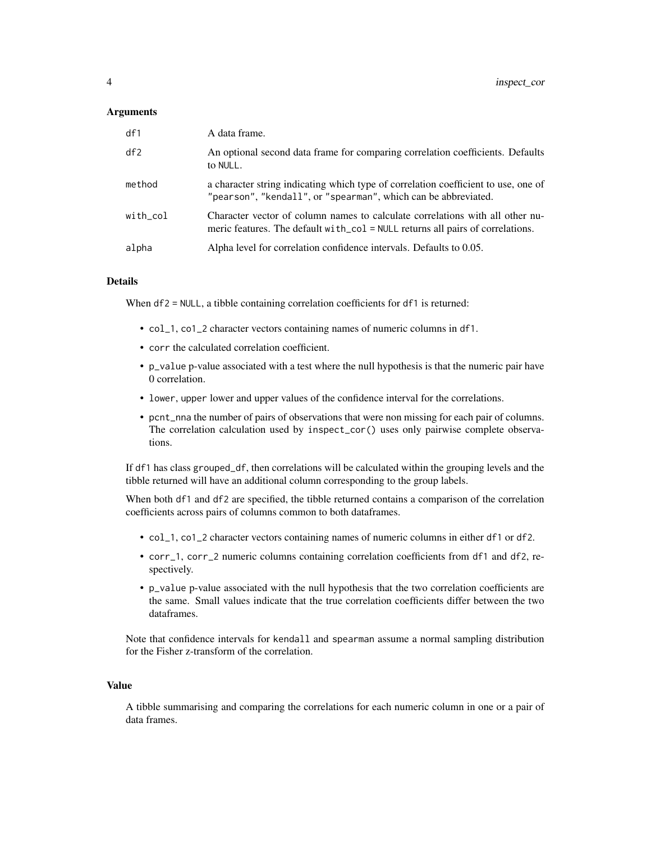#### **Arguments**

| df1      | A data frame.                                                                                                                                                      |
|----------|--------------------------------------------------------------------------------------------------------------------------------------------------------------------|
| df2      | An optional second data frame for comparing correlation coefficients. Defaults<br>to NULL.                                                                         |
| method   | a character string indicating which type of correlation coefficient to use, one of<br>"pearson", "kendall", or "spearman", which can be abbreviated.               |
| with col | Character vector of column names to calculate correlations with all other nu-<br>meric features. The default $with\_col = NULL$ returns all pairs of correlations. |
| alpha    | Alpha level for correlation confidence intervals. Defaults to 0.05.                                                                                                |

### Details

When df2 = NULL, a tibble containing correlation coefficients for df1 is returned:

- col\_1, co1\_2 character vectors containing names of numeric columns in df1.
- corr the calculated correlation coefficient.
- p\_value p-value associated with a test where the null hypothesis is that the numeric pair have 0 correlation.
- lower, upper lower and upper values of the confidence interval for the correlations.
- pcnt\_nna the number of pairs of observations that were non missing for each pair of columns. The correlation calculation used by inspect\_cor() uses only pairwise complete observations.

If df1 has class grouped\_df, then correlations will be calculated within the grouping levels and the tibble returned will have an additional column corresponding to the group labels.

When both df1 and df2 are specified, the tibble returned contains a comparison of the correlation coefficients across pairs of columns common to both dataframes.

- col\_1, co1\_2 character vectors containing names of numeric columns in either df1 or df2.
- corr\_1, corr\_2 numeric columns containing correlation coefficients from df1 and df2, respectively.
- p\_value p-value associated with the null hypothesis that the two correlation coefficients are the same. Small values indicate that the true correlation coefficients differ between the two dataframes.

Note that confidence intervals for kendall and spearman assume a normal sampling distribution for the Fisher z-transform of the correlation.

#### Value

A tibble summarising and comparing the correlations for each numeric column in one or a pair of data frames.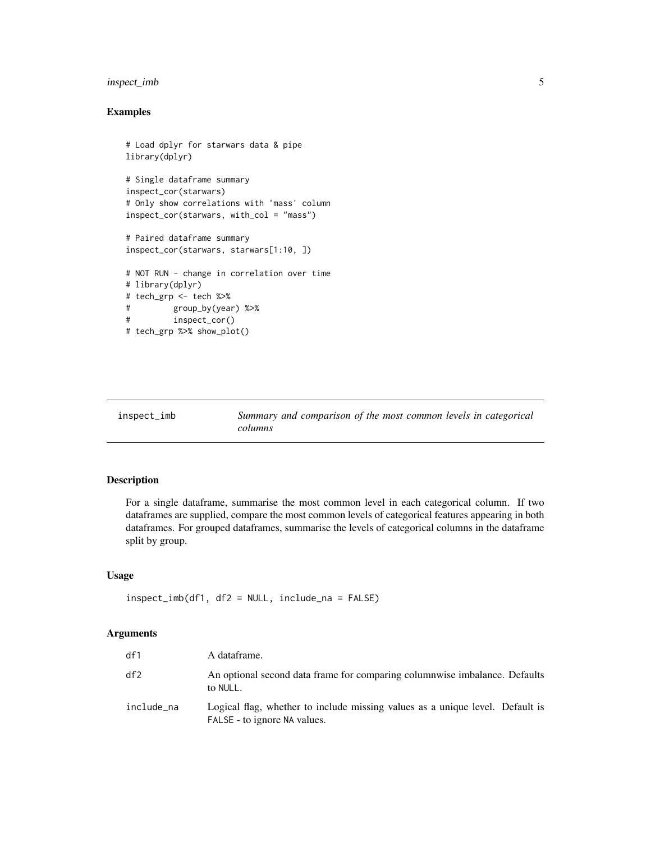# <span id="page-4-0"></span>inspect\_imb 5

# Examples

```
# Load dplyr for starwars data & pipe
library(dplyr)
# Single dataframe summary
inspect_cor(starwars)
# Only show correlations with 'mass' column
inspect_cor(starwars, with_col = "mass")
# Paired dataframe summary
inspect_cor(starwars, starwars[1:10, ])
# NOT RUN - change in correlation over time
# library(dplyr)
# tech_grp <- tech %>%
# group_by(year) %>%
# inspect_cor()
# tech_grp %>% show_plot()
```
<span id="page-4-1"></span>inspect\_imb *Summary and comparison of the most common levels in categorical columns*

# Description

For a single dataframe, summarise the most common level in each categorical column. If two dataframes are supplied, compare the most common levels of categorical features appearing in both dataframes. For grouped dataframes, summarise the levels of categorical columns in the dataframe split by group.

#### Usage

```
inspect_imb(df1, df2 = NULL, include_na = FALSE)
```

| df1        | A dataframe.                                                                                                  |
|------------|---------------------------------------------------------------------------------------------------------------|
| df2        | An optional second data frame for comparing columnwise imbalance. Defaults<br>to NULL.                        |
| include_na | Logical flag, whether to include missing values as a unique level. Default is<br>FALSE - to ignore NA values. |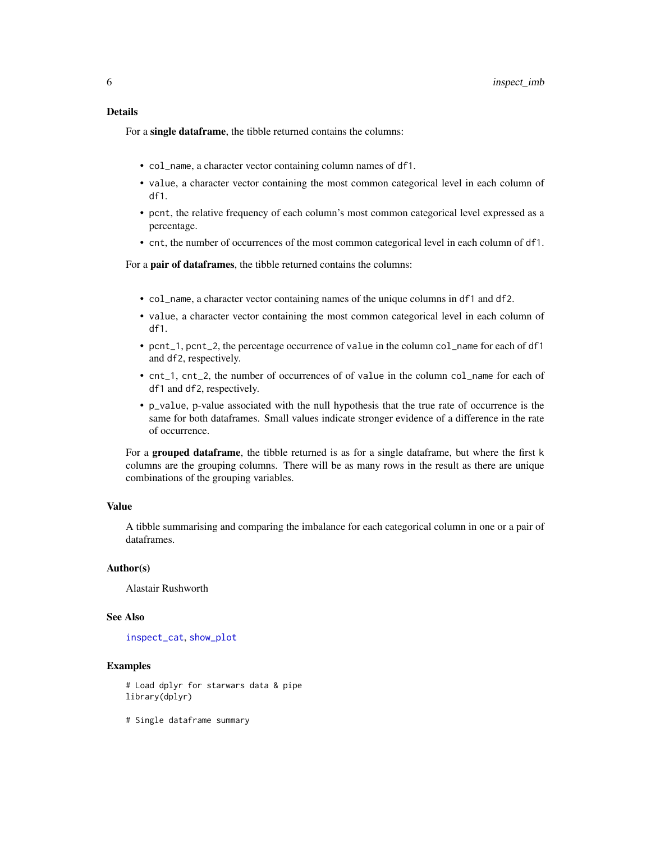### <span id="page-5-0"></span>Details

For a single dataframe, the tibble returned contains the columns:

- col\_name, a character vector containing column names of df1.
- value, a character vector containing the most common categorical level in each column of df1.
- pcnt, the relative frequency of each column's most common categorical level expressed as a percentage.
- cnt, the number of occurrences of the most common categorical level in each column of df1.

For a pair of dataframes, the tibble returned contains the columns:

- col\_name, a character vector containing names of the unique columns in df1 and df2.
- value, a character vector containing the most common categorical level in each column of df1.
- pcnt\_1, pcnt\_2, the percentage occurrence of value in the column col\_name for each of df1 and df2, respectively.
- cnt\_1, cnt\_2, the number of occurrences of of value in the column col\_name for each of df1 and df2, respectively.
- p\_value, p-value associated with the null hypothesis that the true rate of occurrence is the same for both dataframes. Small values indicate stronger evidence of a difference in the rate of occurrence.

For a grouped dataframe, the tibble returned is as for a single dataframe, but where the first k columns are the grouping columns. There will be as many rows in the result as there are unique combinations of the grouping variables.

#### Value

A tibble summarising and comparing the imbalance for each categorical column in one or a pair of dataframes.

# Author(s)

Alastair Rushworth

#### See Also

[inspect\\_cat](#page-1-1), [show\\_plot](#page-12-1)

# Examples

# Load dplyr for starwars data & pipe library(dplyr)

# Single dataframe summary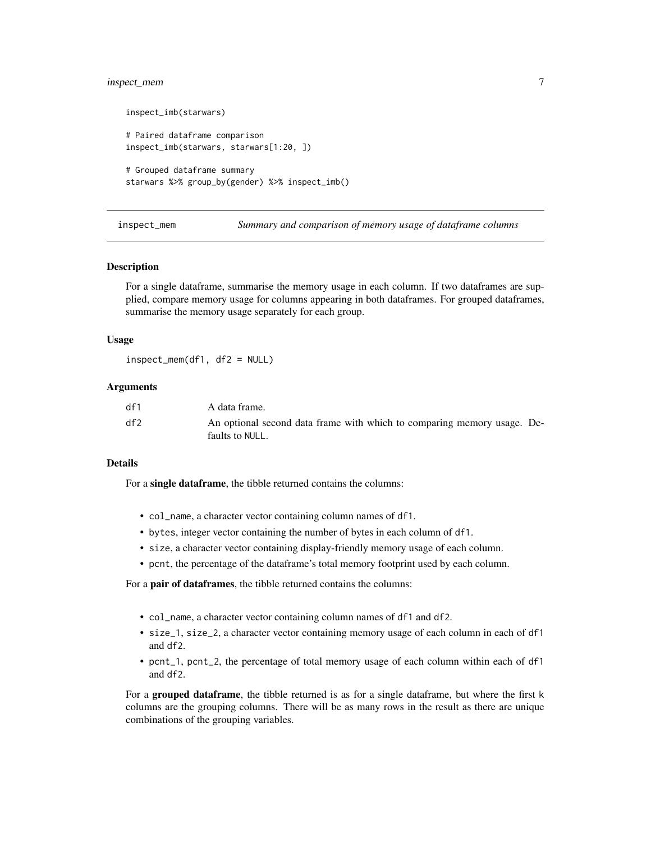# <span id="page-6-0"></span>inspect\_mem 7

```
inspect_imb(starwars)
# Paired dataframe comparison
inspect_imb(starwars, starwars[1:20, ])
# Grouped dataframe summary
starwars %>% group_by(gender) %>% inspect_imb()
```
inspect\_mem *Summary and comparison of memory usage of dataframe columns*

#### Description

For a single dataframe, summarise the memory usage in each column. If two dataframes are supplied, compare memory usage for columns appearing in both dataframes. For grouped dataframes, summarise the memory usage separately for each group.

#### Usage

inspect\_mem(df1, df2 = NULL)

#### Arguments

| df1 | A data frame.                                                                              |
|-----|--------------------------------------------------------------------------------------------|
| df2 | An optional second data frame with which to comparing memory usage. De-<br>faults to NULL. |

#### Details

For a single dataframe, the tibble returned contains the columns:

- col\_name, a character vector containing column names of df1.
- bytes, integer vector containing the number of bytes in each column of df1.
- size, a character vector containing display-friendly memory usage of each column.
- pcnt, the percentage of the dataframe's total memory footprint used by each column.

For a pair of dataframes, the tibble returned contains the columns:

- col\_name, a character vector containing column names of df1 and df2.
- size\_1, size\_2, a character vector containing memory usage of each column in each of df1 and df2.
- pcnt\_1, pcnt\_2, the percentage of total memory usage of each column within each of df1 and df2.

For a grouped dataframe, the tibble returned is as for a single dataframe, but where the first k columns are the grouping columns. There will be as many rows in the result as there are unique combinations of the grouping variables.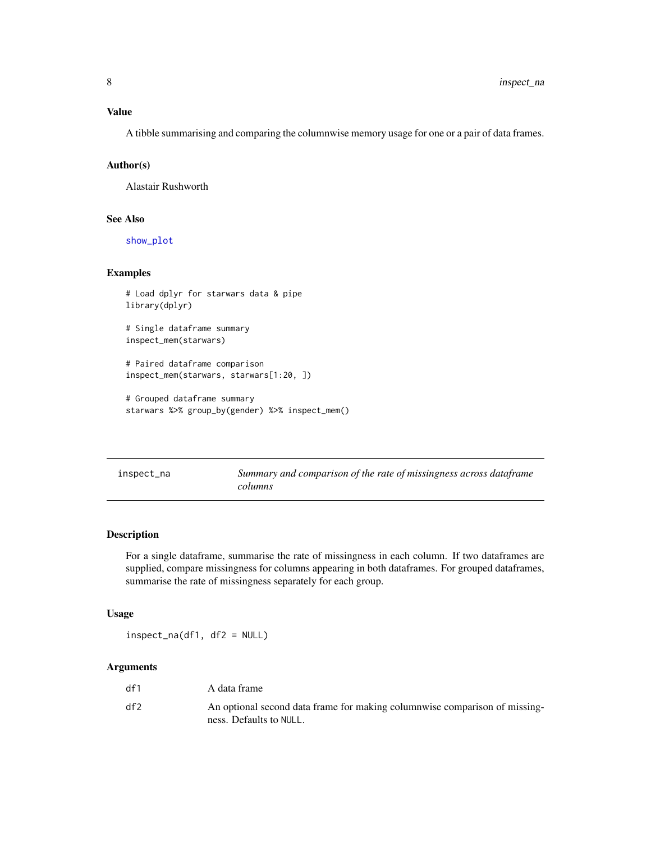#### <span id="page-7-0"></span>Value

A tibble summarising and comparing the columnwise memory usage for one or a pair of data frames.

#### Author(s)

Alastair Rushworth

#### See Also

[show\\_plot](#page-12-1)

#### Examples

```
# Load dplyr for starwars data & pipe
library(dplyr)
```
# Single dataframe summary inspect\_mem(starwars)

```
# Paired dataframe comparison
inspect_mem(starwars, starwars[1:20, ])
```

```
# Grouped dataframe summary
starwars %>% group_by(gender) %>% inspect_mem()
```

| inspect_na | Summary and comparison of the rate of missingness across dataframe |
|------------|--------------------------------------------------------------------|
|            | columns                                                            |

# Description

For a single dataframe, summarise the rate of missingness in each column. If two dataframes are supplied, compare missingness for columns appearing in both dataframes. For grouped dataframes, summarise the rate of missingness separately for each group.

# Usage

inspect\_na(df1, df2 = NULL)

| df1 | A data frame                                                                                          |
|-----|-------------------------------------------------------------------------------------------------------|
| df2 | An optional second data frame for making columnwise comparison of missing-<br>ness. Defaults to NULL. |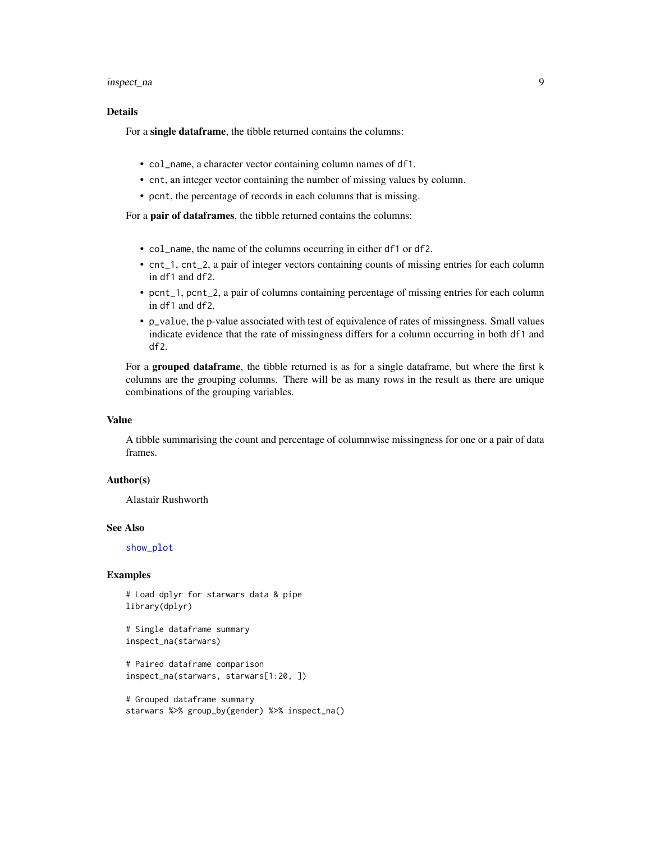#### <span id="page-8-0"></span>inspect\_na 9

### Details

For a single dataframe, the tibble returned contains the columns:

- col\_name, a character vector containing column names of df1.
- cnt, an integer vector containing the number of missing values by column.
- pcnt, the percentage of records in each columns that is missing.

For a pair of dataframes, the tibble returned contains the columns:

- col\_name, the name of the columns occurring in either df1 or df2.
- cnt\_1, cnt\_2, a pair of integer vectors containing counts of missing entries for each column in df1 and df2.
- pcnt\_1, pcnt\_2, a pair of columns containing percentage of missing entries for each column in df1 and df2.
- p\_value, the p-value associated with test of equivalence of rates of missingness. Small values indicate evidence that the rate of missingness differs for a column occurring in both df1 and df2.

For a grouped dataframe, the tibble returned is as for a single dataframe, but where the first k columns are the grouping columns. There will be as many rows in the result as there are unique combinations of the grouping variables.

#### Value

A tibble summarising the count and percentage of columnwise missingness for one or a pair of data frames.

#### Author(s)

Alastair Rushworth

#### See Also

[show\\_plot](#page-12-1)

#### Examples

# Load dplyr for starwars data & pipe library(dplyr)

```
# Single dataframe summary
inspect_na(starwars)
```
# Paired dataframe comparison inspect\_na(starwars, starwars[1:20, ])

```
# Grouped dataframe summary
starwars %>% group_by(gender) %>% inspect_na()
```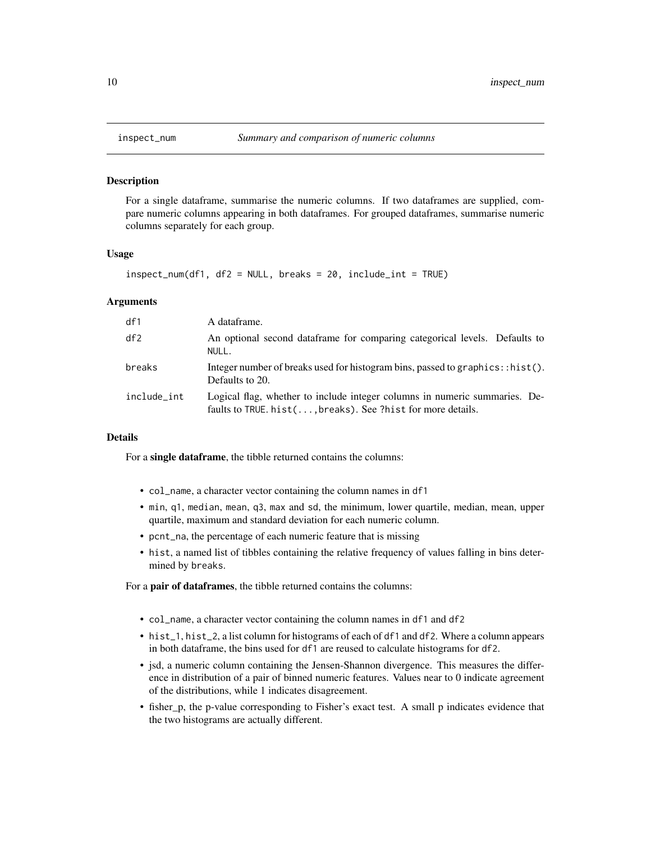<span id="page-9-0"></span>

#### **Description**

For a single dataframe, summarise the numeric columns. If two dataframes are supplied, compare numeric columns appearing in both dataframes. For grouped dataframes, summarise numeric columns separately for each group.

#### Usage

```
inspect_num(df1, df2 = NULL, breaks = 20, include_int = TRUE)
```
#### Arguments

| df1         | A dataframe.                                                                                                                                |
|-------------|---------------------------------------------------------------------------------------------------------------------------------------------|
| df2         | An optional second data frame for comparing categorical levels. Defaults to<br>NULL.                                                        |
| breaks      | Integer number of breaks used for histogram bins, passed to graphics: : hist().<br>Defaults to 20.                                          |
| include_int | Logical flag, whether to include integer columns in numeric summaries. De-<br>faults to TRUE. $hist(,breaks)$ . See ?hist for more details. |

#### Details

For a single dataframe, the tibble returned contains the columns:

- col\_name, a character vector containing the column names in df1
- min, q1, median, mean, q3, max and sd, the minimum, lower quartile, median, mean, upper quartile, maximum and standard deviation for each numeric column.
- pcnt\_na, the percentage of each numeric feature that is missing
- hist, a named list of tibbles containing the relative frequency of values falling in bins determined by breaks.

For a **pair of dataframes**, the tibble returned contains the columns:

- col\_name, a character vector containing the column names in df1 and df2
- hist\_1, hist\_2, a list column for histograms of each of df1 and df2. Where a column appears in both dataframe, the bins used for df1 are reused to calculate histograms for df2.
- jsd, a numeric column containing the Jensen-Shannon divergence. This measures the difference in distribution of a pair of binned numeric features. Values near to 0 indicate agreement of the distributions, while 1 indicates disagreement.
- fisher\_p, the p-value corresponding to Fisher's exact test. A small p indicates evidence that the two histograms are actually different.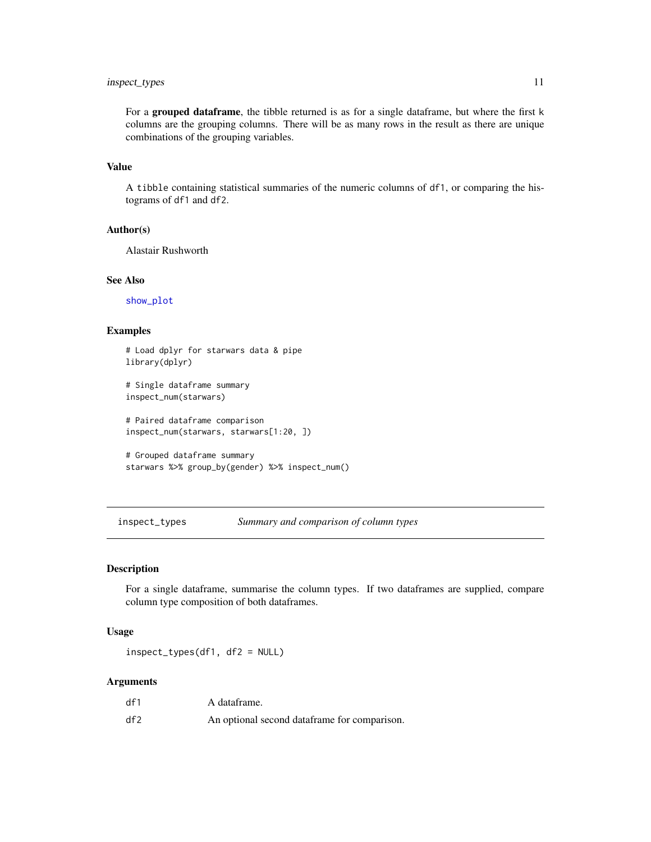# <span id="page-10-0"></span>inspect\_types 11

For a grouped dataframe, the tibble returned is as for a single dataframe, but where the first k columns are the grouping columns. There will be as many rows in the result as there are unique combinations of the grouping variables.

### Value

A tibble containing statistical summaries of the numeric columns of df1, or comparing the histograms of df1 and df2.

#### Author(s)

Alastair Rushworth

### See Also

[show\\_plot](#page-12-1)

### Examples

```
# Load dplyr for starwars data & pipe
library(dplyr)
```
# Single dataframe summary inspect\_num(starwars)

# Paired dataframe comparison inspect\_num(starwars, starwars[1:20, ])

```
# Grouped dataframe summary
starwars %>% group_by(gender) %>% inspect_num()
```
inspect\_types *Summary and comparison of column types*

# Description

For a single dataframe, summarise the column types. If two dataframes are supplied, compare column type composition of both dataframes.

#### Usage

inspect\_types(df1, df2 = NULL)

| df1 | A dataframe.                                 |
|-----|----------------------------------------------|
| df2 | An optional second dataframe for comparison. |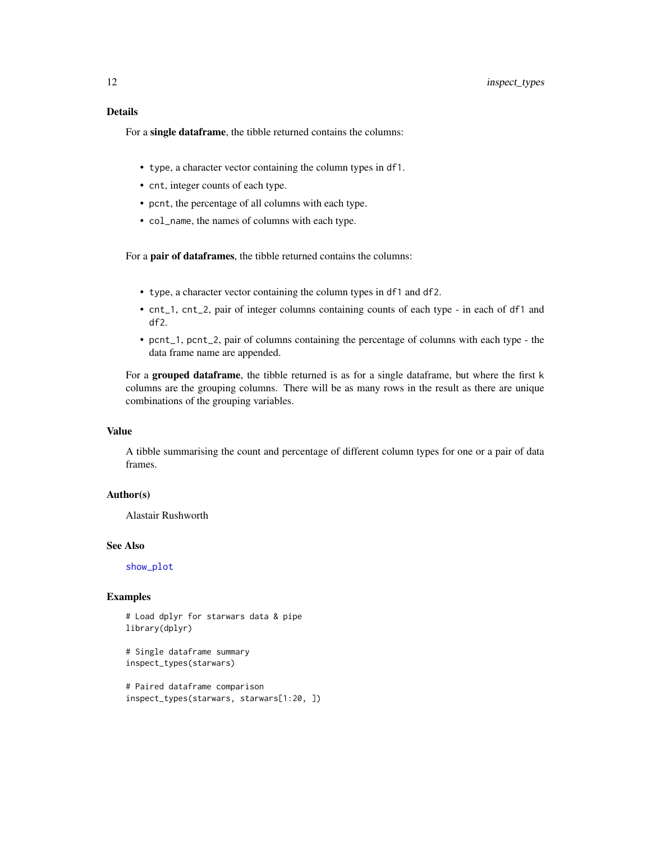<span id="page-11-0"></span>For a single dataframe, the tibble returned contains the columns:

- type, a character vector containing the column types in df1.
- cnt, integer counts of each type.
- pcnt, the percentage of all columns with each type.
- col\_name, the names of columns with each type.

For a pair of dataframes, the tibble returned contains the columns:

- type, a character vector containing the column types in df1 and df2.
- cnt\_1, cnt\_2, pair of integer columns containing counts of each type in each of df1 and df2.
- pcnt\_1, pcnt\_2, pair of columns containing the percentage of columns with each type the data frame name are appended.

For a grouped dataframe, the tibble returned is as for a single dataframe, but where the first k columns are the grouping columns. There will be as many rows in the result as there are unique combinations of the grouping variables.

#### Value

A tibble summarising the count and percentage of different column types for one or a pair of data frames.

#### Author(s)

Alastair Rushworth

#### See Also

[show\\_plot](#page-12-1)

#### Examples

```
# Load dplyr for starwars data & pipe
library(dplyr)
```

```
# Single dataframe summary
inspect_types(starwars)
```

```
# Paired dataframe comparison
inspect_types(starwars, starwars[1:20, ])
```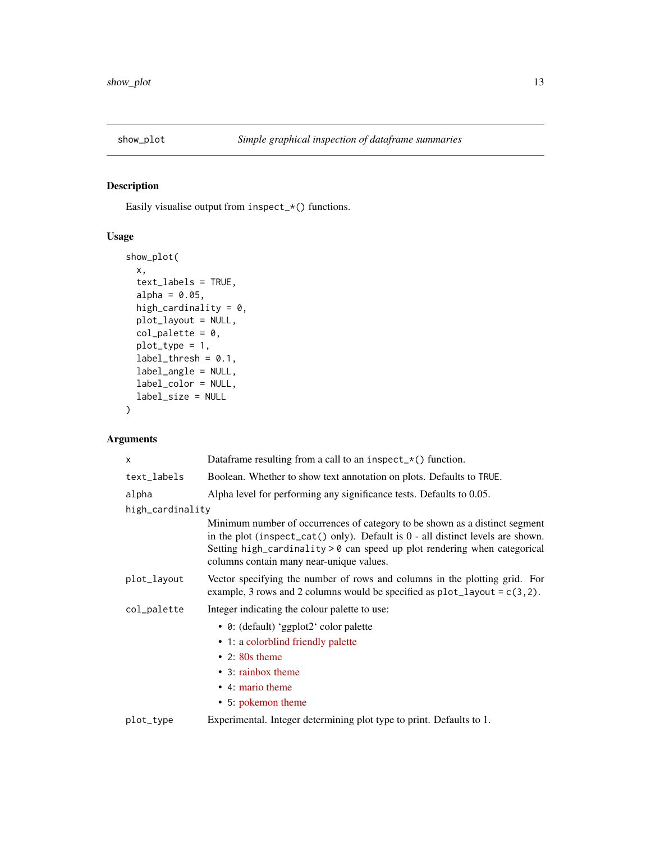<span id="page-12-1"></span><span id="page-12-0"></span>

# Description

Easily visualise output from inspect\_\*() functions.

# Usage

```
show_plot(
 x,
  text_labels = TRUE,
 alpha = 0.05,
 high_cardinality = 0,
 plot_layout = NULL,
 col\_palette = 0,
 plot_type = 1,
 label_{th} thresh = 0.1,
 label_angle = NULL,
 label_color = NULL,
  label_size = NULL
)
```

| X                | Dataframe resulting from a call to an inspect_ $*($ ) function.                                                                                                                                                                                                                             |
|------------------|---------------------------------------------------------------------------------------------------------------------------------------------------------------------------------------------------------------------------------------------------------------------------------------------|
| text_labels      | Boolean. Whether to show text annotation on plots. Defaults to TRUE.                                                                                                                                                                                                                        |
| alpha            | Alpha level for performing any significance tests. Defaults to 0.05.                                                                                                                                                                                                                        |
| high_cardinality |                                                                                                                                                                                                                                                                                             |
|                  | Minimum number of occurrences of category to be shown as a distinct segment<br>in the plot (inspect_cat() only). Default is $0$ - all distinct levels are shown.<br>Setting high_cardinality $> 0$ can speed up plot rendering when categorical<br>columns contain many near-unique values. |
| plot_layout      | Vector specifying the number of rows and columns in the plotting grid. For<br>example, 3 rows and 2 columns would be specified as $plot\_{layout} = c(3, 2)$ .                                                                                                                              |
| col_palette      | Integer indicating the colour palette to use:                                                                                                                                                                                                                                               |
|                  | • 0: (default) 'ggplot2' color palette                                                                                                                                                                                                                                                      |
|                  | • 1: a colorblind friendly palette                                                                                                                                                                                                                                                          |
|                  | $\cdot$ 2: 80s theme                                                                                                                                                                                                                                                                        |
|                  | • 3: rainbox theme                                                                                                                                                                                                                                                                          |
|                  | • 4: mario theme                                                                                                                                                                                                                                                                            |
|                  | • 5: pokemon theme                                                                                                                                                                                                                                                                          |
| plot_type        | Experimental. Integer determining plot type to print. Defaults to 1.                                                                                                                                                                                                                        |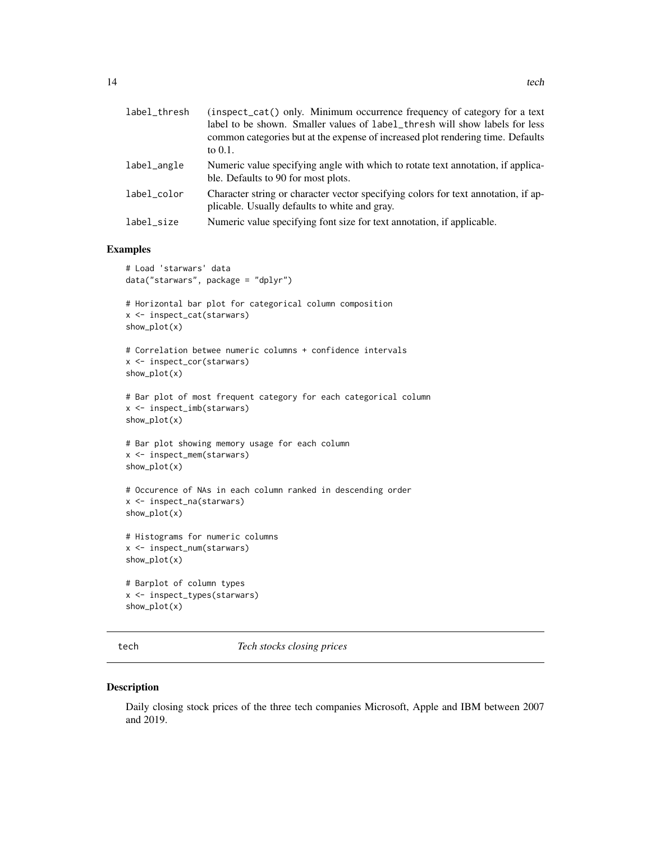<span id="page-13-0"></span>

| label_thresh | (inspect_cat() only. Minimum occurrence frequency of category for a text<br>label to be shown. Smaller values of label_thresh will show labels for less<br>common categories but at the expense of increased plot rendering time. Defaults<br>to $0.1$ . |
|--------------|----------------------------------------------------------------------------------------------------------------------------------------------------------------------------------------------------------------------------------------------------------|
| label_angle  | Numeric value specifying angle with which to rotate text annotation, if applica-<br>ble. Defaults to 90 for most plots.                                                                                                                                  |
| label color  | Character string or character vector specifying colors for text annotation, if ap-<br>plicable. Usually defaults to white and gray.                                                                                                                      |
| label_size   | Numeric value specifying font size for text annotation, if applicable.                                                                                                                                                                                   |

#### Examples

```
# Load 'starwars' data
data("starwars", package = "dplyr")
# Horizontal bar plot for categorical column composition
x <- inspect_cat(starwars)
show_plot(x)
# Correlation betwee numeric columns + confidence intervals
x <- inspect_cor(starwars)
show_plot(x)
# Bar plot of most frequent category for each categorical column
x <- inspect_imb(starwars)
show_plot(x)
# Bar plot showing memory usage for each column
x <- inspect_mem(starwars)
show_plot(x)
# Occurence of NAs in each column ranked in descending order
x <- inspect_na(starwars)
show_plot(x)
# Histograms for numeric columns
x <- inspect_num(starwars)
show_plot(x)
# Barplot of column types
x <- inspect_types(starwars)
show_plot(x)
```
tech *Tech stocks closing prices*

#### Description

Daily closing stock prices of the three tech companies Microsoft, Apple and IBM between 2007 and 2019.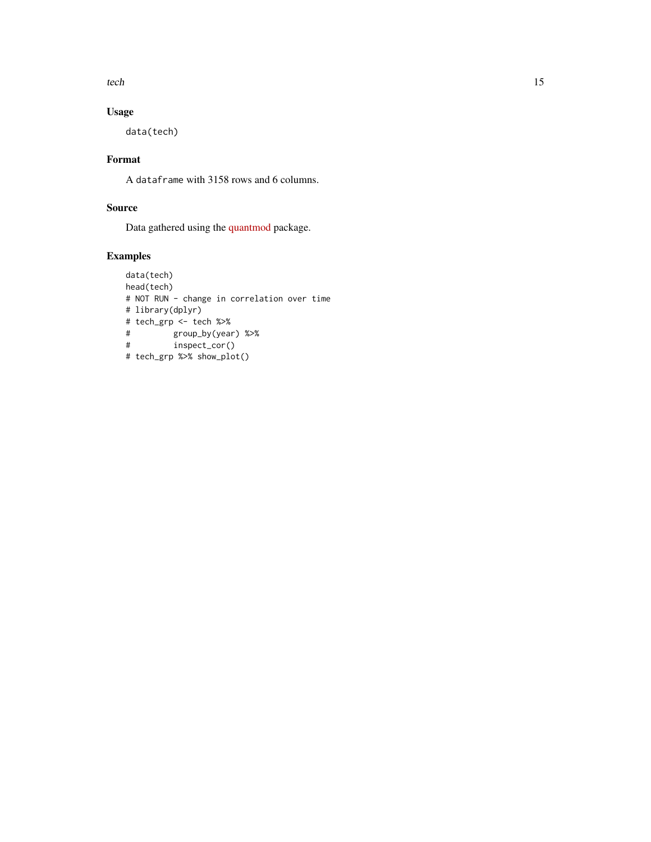tech 15

# Usage

data(tech)

# Format

A dataframe with 3158 rows and 6 columns.

# Source

Data gathered using the [quantmod](https://github.com/joshuaulrich/quantmod) package.

# Examples

```
data(tech)
head(tech)
# NOT RUN - change in correlation over time
# library(dplyr)
# tech_grp <- tech %>%
# group_by(year) %>%
# inspect_cor()
# tech_grp %>% show_plot()
```